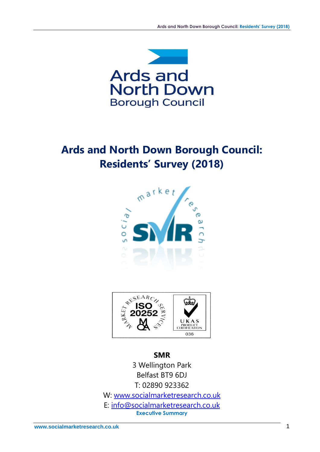

# **Ards and North Down Borough Council: Residents' Survey (2018)**





**SMR** 3 Wellington Park Belfast BT9 6DJ T: 02890 923362 W: [www.socialmarketresearch.co.uk](http://www.socialmarketresearch.co.uk/) E: [info@socialmarketresearch.co.uk](mailto:info@socialmarketresearch.co.uk) **Executive Summary**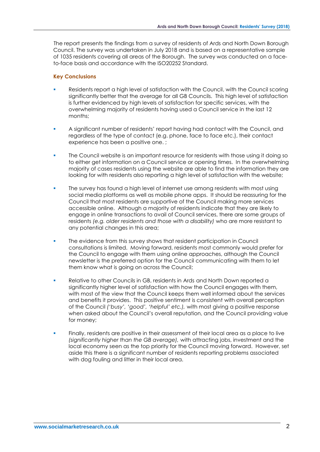The report presents the findings from a survey of residents of Ards and North Down Borough Council. The survey was undertaken in July 2018 and is based on a representative sample of 1035 residents covering all areas of the Borough. The survey was conducted on a faceto-face basis and accordance with the ISO20252 Standard.

# **Key Conclusions**

- Residents report a high level of satisfaction with the Council, with the Council scoring significantly better that the average for all GB Councils. This high level of satisfaction is further evidenced by high levels of satisfaction for specific services, with the overwhelming majority of residents having used a Council service in the last 12 months;
- A significant number of residents' report having had contact with the Council, and regardless of the type of contact (e.g. phone, face to face etc.), their contact experience has been a positive one. ;
- The Council website is an important resource for residents with those using it doing so to either get information on a Council service or opening times. In the overwhelming majority of cases residents using the website are able to find the information they are looking for with residents also reporting a high level of satisfaction with the website;
- The survey has found a high level of internet use among residents with most using social media platforms as well as mobile phone apps. It should be reassuring for the Council that most residents are supportive of the Council making more services accessible online. Although a majority of residents indicate that they are likely to engage in online transactions to avail of Council services, there are some groups of residents *(e.g. older residents and those with a disability)* who are more resistant to any potential changes in this area;
- The evidence from this survey shows that resident participation in Council consultations is limited. Moving forward, residents most commonly would prefer for the Council to engage with them using online approaches, although the Council newsletter is the preferred option for the Council communicating with them to let them know what is going on across the Council;
- Relative to other Councils in GB, residents in Ards and North Down reported a significantly higher level of satisfaction with how the Council engages with them, with most of the view that the Council keeps them well informed about the services and benefits it provides. This positive sentiment is consistent with overall perception of the Council *('busy', 'good', 'helpful' etc.),* with most giving a positive response when asked about the Council's overall reputation, and the Council providing value for money;
- Finally, residents are positive in their assessment of their local area as a place to live *(significantly higher than the GB average),* with attracting jobs, investment and the local economy seen as the top priority for the Council moving forward. However, set aside this there is a significant number of residents reporting problems associated with dog fouling and litter in their local area.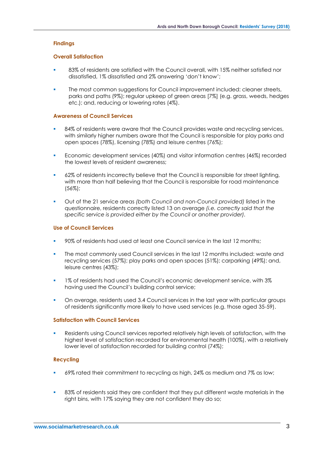## **Findings**

#### **Overall Satisfaction**

- 83% of residents are satisfied with the Council overall, with 15% neither satisfied nor dissatisfied, 1% dissatisfied and 2% answering 'don't know';
- The most common suggestions for Council improvement included: cleaner streets, parks and paths (9%); regular upkeep of green areas [7%] (e.g. grass, weeds, hedges etc.); and, reducing or lowering rates (4%).

#### **Awareness of Council Services**

- 84% of residents were aware that the Council provides waste and recycling services, with similarly higher numbers aware that the Council is responsible for play parks and open spaces (78%), licensing (78%) and leisure centres (76%);
- Economic development services (40%) and visitor information centres (46%) recorded the lowest levels of resident awareness;
- 62% of residents incorrectly believe that the Council is responsible for street lighting, with more than half believing that the Council is responsible for road maintenance (56%);
- Out of the 21 service areas *(both Council and non-Council provided)* listed in the questionnaire, residents correctly listed 13 on average *(i.e. correctly said that the specific service is provided either by the Council or another provider).*

## **Use of Council Services**

- 90% of residents had used at least one Council service in the last 12 months;
- The most commonly used Council services in the last 12 months included: waste and recycling services (57%); play parks and open spaces (51%); carparking (49%); and, leisure centres (43%);
- 1% of residents had used the Council's economic development service, with 3% having used the Council's building control service;
- On average, residents used 3.4 Council services in the last year with particular groups of residents significantly more likely to have used services (e.g. those aged 35-59).

#### **Satisfaction with Council Services**

Residents using Council services reported relatively high levels of satisfaction, with the highest level of satisfaction recorded for environmental health (100%), with a relatively lower level of satisfaction recorded for building control (74%);

# **Recycling**

- 69% rated their commitment to recycling as high, 24% as medium and 7% as low;
- 83% of residents said they are confident that they put different waste materials in the right bins, with 17% saying they are not confident they do so;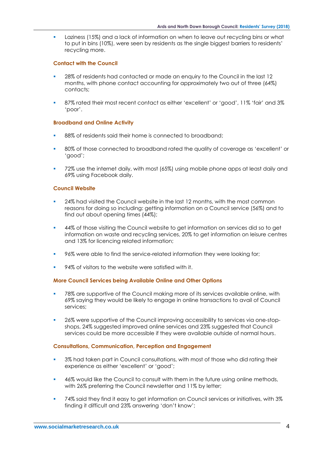Laziness (15%) and a lack of information on when to leave out recycling bins or what to put in bins (10%), were seen by residents as the single biggest barriers to residents' recycling more.

## **Contact with the Council**

- 28% of residents had contacted or made an enquiry to the Council in the last 12 months, with phone contact accounting for approximately two out of three (64%) contacts;
- 87% rated their most recent contact as either 'excellent' or 'good', 11% 'fair' and 3% 'poor'.

### **Broadband and Online Activity**

- 88% of residents said their home is connected to broadband;
- 80% of those connected to broadband rated the quality of coverage as 'excellent' or 'good';
- 72% use the internet daily, with most (65%) using mobile phone apps at least daily and 69% using Facebook daily.

### **Council Website**

- 24% had visited the Council website in the last 12 months, with the most common reasons for doing so including: getting information on a Council service (56%) and to find out about opening times (44%);
- 44% of those visiting the Council website to get information on services did so to get information on waste and recycling services, 20% to get information on leisure centres and 13% for licencing related information;
- 96% were able to find the service-related information they were looking for;
- 94% of visitors to the website were satisfied with it.

# **More Council Services being Available Online and Other Options**

- 78% are supportive of the Council making more of its services available online, with 69% saying they would be likely to engage in online transactions to avail of Council services;
- 26% were supportive of the Council improving accessibility to services via one-stopshops, 24% suggested improved online services and 23% suggested that Council services could be more accessible if they were available outside of normal hours.

#### **Consultations, Communication, Perception and Engagement**

- 3% had taken part in Council consultations, with most of those who did rating their experience as either 'excellent' or 'good';
- 46% would like the Council to consult with them in the future using online methods, with 26% preferring the Council newsletter and 11% by letter;
- 74% said they find it easy to get information on Council services or initiatives, with 3% finding it difficult and 23% answering 'don't know';